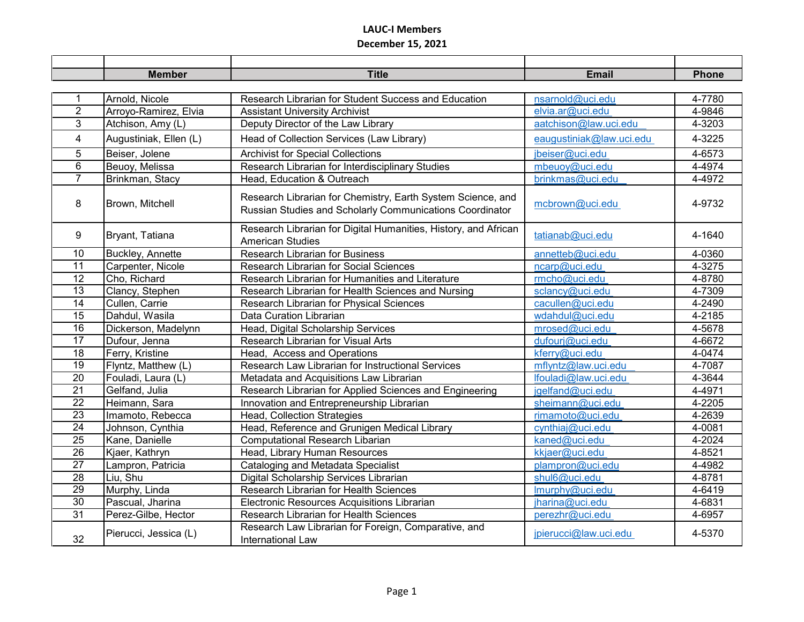## **LAUC-I Members December 15, 2021**

|                 | <b>Member</b>          | <b>Title</b>                                                                                                            | <b>Email</b>             | <b>Phone</b> |
|-----------------|------------------------|-------------------------------------------------------------------------------------------------------------------------|--------------------------|--------------|
|                 |                        |                                                                                                                         |                          |              |
| 1               | Arnold, Nicole         | Research Librarian for Student Success and Education                                                                    | nsarnold@uci.edu         | 4-7780       |
| $\overline{2}$  | Arroyo-Ramirez, Elvia  | <b>Assistant University Archivist</b>                                                                                   | elvia.ar@uci.edu         | 4-9846       |
| 3               | Atchison, Amy (L)      | Deputy Director of the Law Library                                                                                      | aatchison@law.uci.edu    | 4-3203       |
| $\overline{4}$  | Augustiniak, Ellen (L) | Head of Collection Services (Law Library)                                                                               | eaugustiniak@law.uci.edu | 4-3225       |
| 5               | Beiser, Jolene         | <b>Archivist for Special Collections</b>                                                                                | jbeiser@uci.edu          | 4-6573       |
| 6               | Beuoy, Melissa         | Research Librarian for Interdisciplinary Studies                                                                        | mbeuoy@uci.edu           | 4-4974       |
| $\overline{7}$  | Brinkman, Stacy        | Head, Education & Outreach                                                                                              | brinkmas@uci.edu         | 4-4972       |
| 8               | Brown, Mitchell        | Research Librarian for Chemistry, Earth System Science, and<br>Russian Studies and Scholarly Communications Coordinator | mcbrown@uci.edu          | 4-9732       |
| 9               | Bryant, Tatiana        | Research Librarian for Digital Humanities, History, and African<br><b>American Studies</b>                              | tatianab@uci.edu         | 4-1640       |
| 10              | Buckley, Annette       | <b>Research Librarian for Business</b>                                                                                  | annetteb@uci.edu         | 4-0360       |
| 11              | Carpenter, Nicole      | <b>Research Librarian for Social Sciences</b>                                                                           | ncarp@uci.edu            | 4-3275       |
| 12              | Cho, Richard           | Research Librarian for Humanities and Literature                                                                        | rmcho@uci.edu            | 4-8780       |
| 13              | Clancy, Stephen        | Research Librarian for Health Sciences and Nursing                                                                      | sclancy@uci.edu          | 4-7309       |
| $\overline{14}$ | Cullen, Carrie         | Research Librarian for Physical Sciences                                                                                | cacullen@uci.edu         | 4-2490       |
| 15              | Dahdul, Wasila         | Data Curation Librarian                                                                                                 | wdahdul@uci.edu          | 4-2185       |
| 16              | Dickerson, Madelynn    | Head, Digital Scholarship Services                                                                                      | mrosed@uci.edu           | 4-5678       |
| $\overline{17}$ | Dufour, Jenna          | Research Librarian for Visual Arts                                                                                      | dufourj@uci.edu          | 4-6672       |
| 18              | Ferry, Kristine        | Head, Access and Operations                                                                                             | kferry@uci.edu           | 4-0474       |
| $\overline{19}$ | Flyntz, Matthew (L)    | Research Law Librarian for Instructional Services                                                                       | mflyntz@law.uci.edu      | 4-7087       |
| 20              | Fouladi, Laura (L)     | Metadata and Acquisitions Law Librarian                                                                                 | lfouladi@law.uci.edu     | 4-3644       |
| $\overline{21}$ | Gelfand, Julia         | Research Librarian for Applied Sciences and Engineering                                                                 | jgelfand@uci.edu         | 4-4971       |
| $\overline{22}$ | Heimann, Sara          | Innovation and Entrepreneurship Librarian                                                                               | sheimann@uci.edu         | 4-2205       |
| 23              | Imamoto, Rebecca       | Head, Collection Strategies                                                                                             | rimamoto@uci.edu         | 4-2639       |
| $\overline{24}$ | Johnson, Cynthia       | Head, Reference and Grunigen Medical Library                                                                            | cynthiaj@uci.edu         | 4-0081       |
| $\overline{25}$ | Kane, Danielle         | <b>Computational Research Libarian</b>                                                                                  | kaned@uci.edu            | 4-2024       |
| $\overline{26}$ | Kjaer, Kathryn         | Head, Library Human Resources                                                                                           | kkjaer@uci.edu           | 4-8521       |
| 27              | Lampron, Patricia      | Cataloging and Metadata Specialist                                                                                      | plampron@uci.edu         | 4-4982       |
| 28              | Liu, Shu               | Digital Scholarship Services Librarian                                                                                  | shul6@uci.edu            | 4-8781       |
| 29              | Murphy, Linda          | Research Librarian for Health Sciences                                                                                  | Imurphy@uci.edu          | 4-6419       |
| $\overline{30}$ | Pascual, Jharina       | Electronic Resources Acquisitions Librarian                                                                             | jharina@uci.edu          | 4-6831       |
| $\overline{31}$ | Perez-Gilbe, Hector    | Research Librarian for Health Sciences                                                                                  | perezhr@uci.edu          | 4-6957       |
| 32              | Pierucci, Jessica (L)  | Research Law Librarian for Foreign, Comparative, and<br>International Law                                               | jpierucci@law.uci.edu    | 4-5370       |